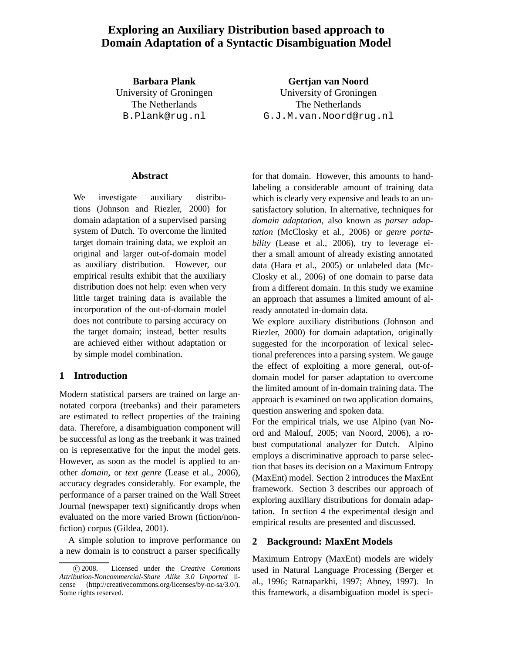# **Exploring an Auxiliary Distribution based approach to Domain Adaptation of a Syntactic Disambiguation Model**

**Barbara Plank** University of Groningen The Netherlands B.Plank@rug.nl

**Gertjan van Noord** University of Groningen The Netherlands G.J.M.van.Noord@rug.nl

#### **Abstract**

We investigate auxiliary distributions (Johnson and Riezler, 2000) for domain adaptation of a supervised parsing system of Dutch. To overcome the limited target domain training data, we exploit an original and larger out-of-domain model as auxiliary distribution. However, our empirical results exhibit that the auxiliary distribution does not help: even when very little target training data is available the incorporation of the out-of-domain model does not contribute to parsing accuracy on the target domain; instead, better results are achieved either without adaptation or by simple model combination.

## **1 Introduction**

Modern statistical parsers are trained on large annotated corpora (treebanks) and their parameters are estimated to reflect properties of the training data. Therefore, a disambiguation component will be successful as long as the treebank it was trained on is representative for the input the model gets. However, as soon as the model is applied to another *domain*, or *text genre* (Lease et al., 2006), accuracy degrades considerably. For example, the performance of a parser trained on the Wall Street Journal (newspaper text) significantly drops when evaluated on the more varied Brown (fiction/nonfiction) corpus (Gildea, 2001).

A simple solution to improve performance on a new domain is to construct a parser specifically

for that domain. However, this amounts to handlabeling a considerable amount of training data which is clearly very expensive and leads to an unsatisfactory solution. In alternative, techniques for *domain adaptation*, also known as *parser adaptation* (McClosky et al., 2006) or *genre portability* (Lease et al., 2006), try to leverage either a small amount of already existing annotated data (Hara et al., 2005) or unlabeled data (Mc-Closky et al., 2006) of one domain to parse data from a different domain. In this study we examine an approach that assumes a limited amount of already annotated in-domain data.

We explore auxiliary distributions (Johnson and Riezler, 2000) for domain adaptation, originally suggested for the incorporation of lexical selectional preferences into a parsing system. We gauge the effect of exploiting a more general, out-ofdomain model for parser adaptation to overcome the limited amount of in-domain training data. The approach is examined on two application domains, question answering and spoken data.

For the empirical trials, we use Alpino (van Noord and Malouf, 2005; van Noord, 2006), a robust computational analyzer for Dutch. Alpino employs a discriminative approach to parse selection that bases its decision on a Maximum Entropy (MaxEnt) model. Section 2 introduces the MaxEnt framework. Section 3 describes our approach of exploring auxiliary distributions for domain adaptation. In section 4 the experimental design and empirical results are presented and discussed.

#### **2 Background: MaxEnt Models**

Maximum Entropy (MaxEnt) models are widely used in Natural Language Processing (Berger et al., 1996; Ratnaparkhi, 1997; Abney, 1997). In this framework, a disambiguation model is speci-

c 2008. Licensed under the *Creative Commons Attribution-Noncommercial-Share Alike 3.0 Unported* license (http://creativecommons.org/licenses/by-nc-sa/3.0/). Some rights reserved.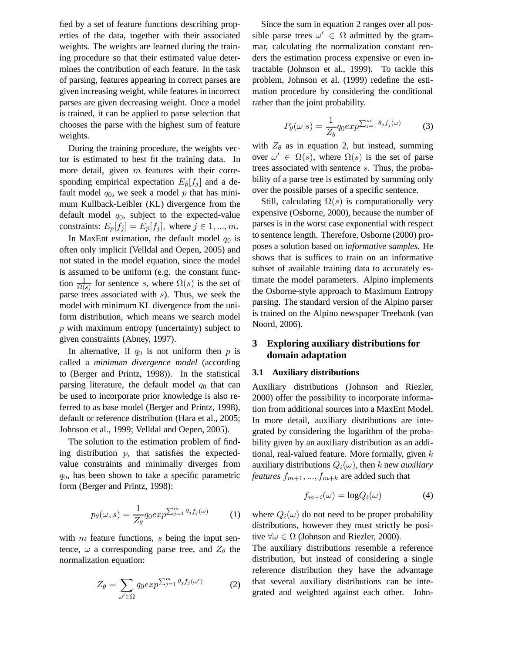fied by a set of feature functions describing properties of the data, together with their associated weights. The weights are learned during the training procedure so that their estimated value determines the contribution of each feature. In the task of parsing, features appearing in correct parses are given increasing weight, while features in incorrect parses are given decreasing weight. Once a model is trained, it can be applied to parse selection that chooses the parse with the highest sum of feature weights.

During the training procedure, the weights vector is estimated to best fit the training data. In more detail, given  $m$  features with their corresponding empirical expectation  $E_{\tilde{p}}[f_i]$  and a default model  $q_0$ , we seek a model p that has minimum Kullback-Leibler (KL) divergence from the default model  $q_0$ , subject to the expected-value constraints:  $E_p[f_j] = E_{\tilde{p}}[f_j]$ , where  $j \in 1, ..., m$ .

In MaxEnt estimation, the default model  $q_0$  is often only implicit (Velldal and Oepen, 2005) and not stated in the model equation, since the model is assumed to be uniform (e.g. the constant function  $\frac{1}{\Omega(s)}$  for sentence s, where  $\Omega(s)$  is the set of parse trees associated with  $s$ ). Thus, we seek the model with minimum KL divergence from the uniform distribution, which means we search model p with maximum entropy (uncertainty) subject to given constraints (Abney, 1997).

In alternative, if  $q_0$  is not uniform then p is called a *minimum divergence model* (according to (Berger and Printz, 1998)). In the statistical parsing literature, the default model  $q_0$  that can be used to incorporate prior knowledge is also referred to as base model (Berger and Printz, 1998), default or reference distribution (Hara et al., 2005; Johnson et al., 1999; Velldal and Oepen, 2005).

The solution to the estimation problem of finding distribution  $p$ , that satisfies the expectedvalue constraints and minimally diverges from  $q_0$ , has been shown to take a specific parametric form (Berger and Printz, 1998):

$$
p_{\theta}(\omega, s) = \frac{1}{Z_{\theta}} q_0 exp^{\sum_{j=1}^{m} \theta_j f_j(\omega)}
$$
 (1)

with  $m$  feature functions,  $s$  being the input sentence,  $\omega$  a corresponding parse tree, and  $Z_{\theta}$  the normalization equation:

$$
Z_{\theta} = \sum_{\omega' \in \Omega} q_0 exp^{\sum_{j=1}^m \theta_j f_j(\omega')} \tag{2}
$$

Since the sum in equation 2 ranges over all possible parse trees  $\omega' \in \Omega$  admitted by the grammar, calculating the normalization constant renders the estimation process expensive or even intractable (Johnson et al., 1999). To tackle this problem, Johnson et al. (1999) redefine the estimation procedure by considering the conditional rather than the joint probability.

$$
P_{\theta}(\omega|s) = \frac{1}{Z_{\theta}} q_0 exp^{\sum_{j=1}^{m} \theta_j f_j(\omega)}
$$
(3)

with  $Z_{\theta}$  as in equation 2, but instead, summing over  $\omega' \in \Omega(s)$ , where  $\Omega(s)$  is the set of parse trees associated with sentence s. Thus, the probability of a parse tree is estimated by summing only over the possible parses of a specific sentence.

Still, calculating  $\Omega(s)$  is computationally very expensive (Osborne, 2000), because the number of parses is in the worst case exponential with respect to sentence length. Therefore, Osborne (2000) proposes a solution based on *informative samples*. He shows that is suffices to train on an informative subset of available training data to accurately estimate the model parameters. Alpino implements the Osborne-style approach to Maximum Entropy parsing. The standard version of the Alpino parser is trained on the Alpino newspaper Treebank (van Noord, 2006).

## **3 Exploring auxiliary distributions for domain adaptation**

### **3.1 Auxiliary distributions**

Auxiliary distributions (Johnson and Riezler, 2000) offer the possibility to incorporate information from additional sources into a MaxEnt Model. In more detail, auxiliary distributions are integrated by considering the logarithm of the probability given by an auxiliary distribution as an additional, real-valued feature. More formally, given  $k$ auxiliary distributions  $Q_i(\omega)$ , then k new *auxiliary features*  $f_{m+1},..., f_{m+k}$  are added such that

$$
f_{m+i}(\omega) = \log Q_i(\omega) \tag{4}
$$

where  $Q_i(\omega)$  do not need to be proper probability distributions, however they must strictly be positive  $\forall \omega \in \Omega$  (Johnson and Riezler, 2000).

The auxiliary distributions resemble a reference distribution, but instead of considering a single reference distribution they have the advantage that several auxiliary distributions can be integrated and weighted against each other. John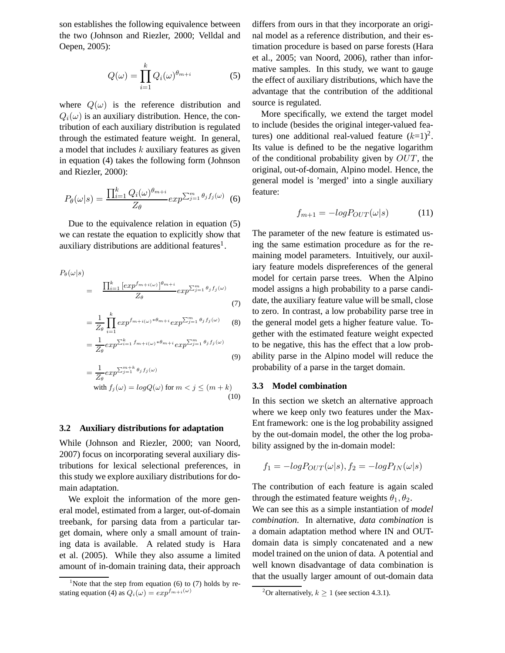son establishes the following equivalence between the two (Johnson and Riezler, 2000; Velldal and Oepen, 2005):

$$
Q(\omega) = \prod_{i=1}^{k} Q_i(\omega)^{\theta_{m+i}} \tag{5}
$$

where  $Q(\omega)$  is the reference distribution and  $Q_i(\omega)$  is an auxiliary distribution. Hence, the contribution of each auxiliary distribution is regulated through the estimated feature weight. In general, a model that includes  $k$  auxiliary features as given in equation (4) takes the following form (Johnson and Riezler, 2000):

$$
P_{\theta}(\omega|s) = \frac{\prod_{i=1}^{k} Q_i(\omega)^{\theta_{m+i}}}{Z_{\theta}} exp^{\sum_{j=1}^{m} \theta_j f_j(\omega)}
$$
(6)

Due to the equivalence relation in equation (5) we can restate the equation to explicitly show that auxiliary distributions are additional features<sup>1</sup>.

$$
P_{\theta}(\omega|s) = \frac{\prod_{i=1}^{k} \left[ exp^{f_{m+i}(\omega)} \right]^{\theta_{m+i}}}{Z_{\theta}} exp^{\sum_{j=1}^{m} \theta_{j} f_{j}(\omega)}
$$
\n(7)

$$
=\frac{1}{Z_{\theta}}\prod_{i=1}^{k}exp^{f_{m+i(\omega)}*\theta_{m+i}}exp^{\sum_{j=1}^{m}\theta_{j}f_{j}(\omega)}\qquad(8)
$$

$$
=\frac{1}{Z_{\theta}}exp^{\sum_{i=1}^{k}f_{m+i(\omega)}*\theta_{m+i}}exp^{\sum_{j=1}^{m}\theta_{j}f_{j}(\omega)}
$$
\n(9)

$$
= \frac{1}{Z_{\theta}} exp^{\sum_{j=1}^{m+k} \theta_j f_j(\omega)}
$$
  
with  $f_j(\omega) = logQ(\omega)$  for  $m < j \le (m+k)$  (10)

#### **3.2 Auxiliary distributions for adaptation**

While (Johnson and Riezler, 2000; van Noord, 2007) focus on incorporating several auxiliary distributions for lexical selectional preferences, in this study we explore auxiliary distributions for domain adaptation.

We exploit the information of the more general model, estimated from a larger, out-of-domain treebank, for parsing data from a particular target domain, where only a small amount of training data is available. A related study is Hara et al. (2005). While they also assume a limited amount of in-domain training data, their approach

differs from ours in that they incorporate an original model as a reference distribution, and their estimation procedure is based on parse forests (Hara et al., 2005; van Noord, 2006), rather than informative samples. In this study, we want to gauge the effect of auxiliary distributions, which have the advantage that the contribution of the additional source is regulated.

More specifically, we extend the target model to include (besides the original integer-valued features) one additional real-valued feature  $(k=1)^2$ . Its value is defined to be the negative logarithm of the conditional probability given by  $OUT$ , the original, out-of-domain, Alpino model. Hence, the general model is 'merged' into a single auxiliary feature:

$$
f_{m+1} = -logP_{OUT}(\omega|s)
$$
 (11)

The parameter of the new feature is estimated using the same estimation procedure as for the remaining model parameters. Intuitively, our auxiliary feature models dispreferences of the general model for certain parse trees. When the Alpino model assigns a high probability to a parse candidate, the auxiliary feature value will be small, close to zero. In contrast, a low probability parse tree in the general model gets a higher feature value. Together with the estimated feature weight expected to be negative, this has the effect that a low probability parse in the Alpino model will reduce the probability of a parse in the target domain.

#### **3.3 Model combination**

In this section we sketch an alternative approach where we keep only two features under the Max-Ent framework: one is the log probability assigned by the out-domain model, the other the log probability assigned by the in-domain model:

$$
f_1 = -logP_{OUT}(\omega|s), f_2 = -logP_{IN}(\omega|s)
$$

The contribution of each feature is again scaled through the estimated feature weights  $\theta_1, \theta_2$ .

We can see this as a simple instantiation of *model combination*. In alternative, *data combination* is a domain adaptation method where IN and OUTdomain data is simply concatenated and a new model trained on the union of data. A potential and well known disadvantage of data combination is that the usually larger amount of out-domain data

<sup>&</sup>lt;sup>1</sup>Note that the step from equation (6) to (7) holds by restating equation (4) as  $Q_i(\omega) = exp^{f_{m+i}(\omega)}$ 

<sup>&</sup>lt;sup>2</sup>Or alternatively,  $k \ge 1$  (see section 4.3.1).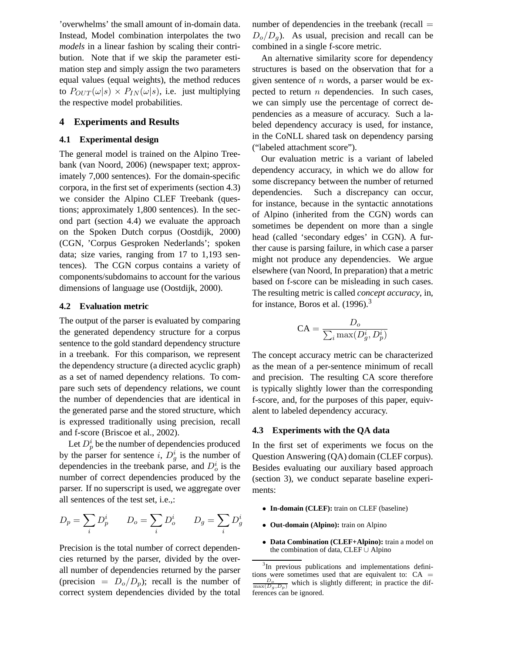'overwhelms' the small amount of in-domain data. Instead, Model combination interpolates the two *models* in a linear fashion by scaling their contribution. Note that if we skip the parameter estimation step and simply assign the two parameters equal values (equal weights), the method reduces to  $P_{OUT}(\omega|s) \times P_{IN}(\omega|s)$ , i.e. just multiplying the respective model probabilities.

### **4 Experiments and Results**

#### **4.1 Experimental design**

The general model is trained on the Alpino Treebank (van Noord, 2006) (newspaper text; approximately 7,000 sentences). For the domain-specific corpora, in the first set of experiments (section 4.3) we consider the Alpino CLEF Treebank (questions; approximately 1,800 sentences). In the second part (section 4.4) we evaluate the approach on the Spoken Dutch corpus (Oostdijk, 2000) (CGN, 'Corpus Gesproken Nederlands'; spoken data; size varies, ranging from 17 to 1,193 sentences). The CGN corpus contains a variety of components/subdomains to account for the various dimensions of language use (Oostdijk, 2000).

#### **4.2 Evaluation metric**

The output of the parser is evaluated by comparing the generated dependency structure for a corpus sentence to the gold standard dependency structure in a treebank. For this comparison, we represent the dependency structure (a directed acyclic graph) as a set of named dependency relations. To compare such sets of dependency relations, we count the number of dependencies that are identical in the generated parse and the stored structure, which is expressed traditionally using precision, recall and f-score (Briscoe et al., 2002).

Let  $D_p^i$  be the number of dependencies produced by the parser for sentence i,  $D_g^i$  is the number of dependencies in the treebank parse, and  $D_o^i$  is the number of correct dependencies produced by the parser. If no superscript is used, we aggregate over all sentences of the test set, i.e.,:

$$
D_p = \sum_i D_p^i \qquad D_o = \sum_i D_o^i \qquad D_g = \sum_i D_g^i
$$

Precision is the total number of correct dependencies returned by the parser, divided by the overall number of dependencies returned by the parser (precision =  $D_0/D_p$ ); recall is the number of correct system dependencies divided by the total

number of dependencies in the treebank (recall  $=$  $D_o/D_q$ ). As usual, precision and recall can be combined in a single f-score metric.

An alternative similarity score for dependency structures is based on the observation that for a given sentence of  $n$  words, a parser would be expected to return  $n$  dependencies. In such cases, we can simply use the percentage of correct dependencies as a measure of accuracy. Such a labeled dependency accuracy is used, for instance, in the CoNLL shared task on dependency parsing ("labeled attachment score").

Our evaluation metric is a variant of labeled dependency accuracy, in which we do allow for some discrepancy between the number of returned dependencies. Such a discrepancy can occur, for instance, because in the syntactic annotations of Alpino (inherited from the CGN) words can sometimes be dependent on more than a single head (called 'secondary edges' in CGN). A further cause is parsing failure, in which case a parser might not produce any dependencies. We argue elsewhere (van Noord, In preparation) that a metric based on f-score can be misleading in such cases. The resulting metric is called *concept accuracy*, in, for instance, Boros et al.  $(1996)^3$ 

$$
\text{CA} = \frac{D_o}{\sum_i \max(D_g^i, D_p^i)}
$$

The concept accuracy metric can be characterized as the mean of a per-sentence minimum of recall and precision. The resulting CA score therefore is typically slightly lower than the corresponding f-score, and, for the purposes of this paper, equivalent to labeled dependency accuracy.

#### **4.3 Experiments with the QA data**

In the first set of experiments we focus on the Question Answering (QA) domain (CLEF corpus). Besides evaluating our auxiliary based approach (section 3), we conduct separate baseline experiments:

- **In-domain (CLEF):** train on CLEF (baseline)
- **Out-domain (Alpino):** train on Alpino
- **Data Combination (CLEF+Alpino):** train a model on the combination of data, CLEF ∪ Alpino

<sup>&</sup>lt;sup>3</sup>In previous publications and implementations definitions were sometimes used that are equivalent to:  $CA =$  $\frac{D_o}{\max(D_g, D_p)}$  which is slightly different; in practice the differences can be ignored.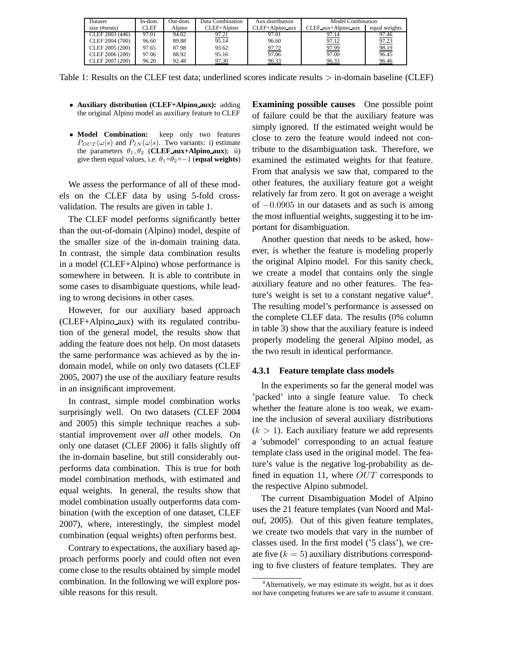| Dataset         | In-dom. | Out-dom. | Data Combination | Aux distribution | Model Combination   |               |
|-----------------|---------|----------|------------------|------------------|---------------------|---------------|
| size (#sents)   | CLEF    | Alpino   | CLEF+Alpino      | CLEF+Alpino_aux  | CLEF aux+Alpino aux | equal weights |
| CLEF 2003 (446) | 97.01   | 94.02    | 97.21            | 97.01            | 97.14               | 97.46         |
| CLEF 2004 (700) | 96.60   | 89.88    | 95.14            | 96.60            | 97.12               | 97.23         |
| CLEF 2005 (200) | 97.65   | 87.98    | 93.62            | 97.72            | 97.99               | 98.19         |
| CLEF 2006 (200) | 97.06   | 88.92    | 95.16            | 97.06            | 97.00               | 96.45         |
| CLEF 2007 (200) | 96.20   | 92.48    | 97.30            | 96.33            | 96.33               | 96.46         |

Table 1: Results on the CLEF test data; underlined scores indicate results > in-domain baseline (CLEF)

- **Auxiliary distribution (CLEF+Alpino aux):** adding the original Alpino model as auxiliary feature to CLEF
- **Model Combination:** keep only two features  $P_{OUT}(\omega|s)$  and  $P_{IN}(\omega|s)$ . Two variants: i) estimate the parameters  $\theta_1$ ,  $\theta_2$  (**CLEF aux+Alpino aux**); ii) give them equal values, i.e.  $\theta_1 = \theta_2 = -1$  (equal weights)

We assess the performance of all of these models on the CLEF data by using 5-fold crossvalidation. The results are given in table 1.

The CLEF model performs significantly better than the out-of-domain (Alpino) model, despite of the smaller size of the in-domain training data. In contrast, the simple data combination results in a model (CLEF+Alpino) whose performance is somewhere in between. It is able to contribute in some cases to disambiguate questions, while leading to wrong decisions in other cases.

However, for our auxiliary based approach (CLEF+Alpino aux) with its regulated contribution of the general model, the results show that adding the feature does not help. On most datasets the same performance was achieved as by the indomain model, while on only two datasets (CLEF 2005, 2007) the use of the auxiliary feature results in an insignificant improvement.

In contrast, simple model combination works surprisingly well. On two datasets (CLEF 2004 and 2005) this simple technique reaches a substantial improvement over *all* other models. On only one dataset (CLEF 2006) it falls slightly off the in-domain baseline, but still considerably outperforms data combination. This is true for both model combination methods, with estimated and equal weights. In general, the results show that model combination usually outperforms data combination (with the exception of one dataset, CLEF 2007), where, interestingly, the simplest model combination (equal weights) often performs best.

Contrary to expectations, the auxiliary based approach performs poorly and could often not even come close to the results obtained by simple model combination. In the following we will explore possible reasons for this result.

**Examining possible causes** One possible point of failure could be that the auxiliary feature was simply ignored. If the estimated weight would be close to zero the feature would indeed not contribute to the disambiguation task. Therefore, we examined the estimated weights for that feature. From that analysis we saw that, compared to the other features, the auxiliary feature got a weight relatively far from zero. It got on average a weight of  $-0.0905$  in our datasets and as such is among the most influential weights, suggesting it to be important for disambiguation.

Another question that needs to be asked, however, is whether the feature is modeling properly the original Alpino model. For this sanity check, we create a model that contains only the single auxiliary feature and no other features. The feature's weight is set to a constant negative value<sup>4</sup>. The resulting model's performance is assessed on the complete CLEF data. The results (0% column in table 3) show that the auxiliary feature is indeed properly modeling the general Alpino model, as the two result in identical performance.

#### **4.3.1 Feature template class models**

In the experiments so far the general model was 'packed' into a single feature value. To check whether the feature alone is too weak, we examine the inclusion of several auxiliary distributions  $(k > 1)$ . Each auxiliary feature we add represents a 'submodel' corresponding to an actual feature template class used in the original model. The feature's value is the negative log-probability as defined in equation 11, where  $OUT$  corresponds to the respective Alpino submodel.

The current Disambiguation Model of Alpino uses the 21 feature templates (van Noord and Malouf, 2005). Out of this given feature templates, we create two models that vary in the number of classes used. In the first model ('5 class'), we create five  $(k = 5)$  auxiliary distributions corresponding to five clusters of feature templates. They are

<sup>&</sup>lt;sup>4</sup> Alternatively, we may estimate its weight, but as it does not have competing features we are safe to assume it constant.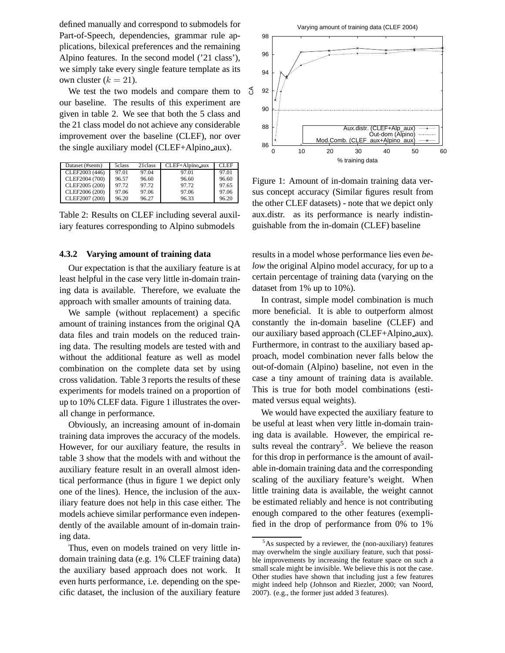defined manually and correspond to submodels for Part-of-Speech, dependencies, grammar rule applications, bilexical preferences and the remaining Alpino features. In the second model ('21 class'), we simply take every single feature template as its own cluster  $(k = 21)$ .

We test the two models and compare them to our baseline. The results of this experiment are given in table 2. We see that both the 5 class and the 21 class model do not achieve any considerable improvement over the baseline (CLEF), nor over the single auxiliary model (CLEF+Alpino aux).

| Dataset (#sents) | 5class | 21 class | CLEF+Alpino_aux | CLEF  |
|------------------|--------|----------|-----------------|-------|
| CLEF2003 (446)   | 97.01  | 97.04    | 97.01           | 97.01 |
| CLEF2004 (700)   | 96.57  | 96.60    | 96.60           | 96.60 |
| CLEF2005 (200)   | 97.72  | 97.72    | 97.72           | 97.65 |
| CLEF2006 (200)   | 97.06  | 97.06    | 97.06           | 97.06 |
| CLEF2007 (200)   | 96.20  | 96.27    | 96.33           | 96.20 |

Table 2: Results on CLEF including several auxiliary features corresponding to Alpino submodels

#### **4.3.2 Varying amount of training data**

Our expectation is that the auxiliary feature is at least helpful in the case very little in-domain training data is available. Therefore, we evaluate the approach with smaller amounts of training data.

We sample (without replacement) a specific amount of training instances from the original QA data files and train models on the reduced training data. The resulting models are tested with and without the additional feature as well as model combination on the complete data set by using cross validation. Table 3 reports the results of these experiments for models trained on a proportion of up to 10% CLEF data. Figure 1 illustrates the overall change in performance.

Obviously, an increasing amount of in-domain training data improves the accuracy of the models. However, for our auxiliary feature, the results in table 3 show that the models with and without the auxiliary feature result in an overall almost identical performance (thus in figure 1 we depict only one of the lines). Hence, the inclusion of the auxiliary feature does not help in this case either. The models achieve similar performance even independently of the available amount of in-domain training data.

Thus, even on models trained on very little indomain training data (e.g. 1% CLEF training data) the auxiliary based approach does not work. It even hurts performance, i.e. depending on the specific dataset, the inclusion of the auxiliary feature



Figure 1: Amount of in-domain training data versus concept accuracy (Similar figures result from the other CLEF datasets) - note that we depict only aux.distr. as its performance is nearly indistinguishable from the in-domain (CLEF) baseline

results in a model whose performance lies even *below* the original Alpino model accuracy, for up to a certain percentage of training data (varying on the dataset from 1% up to 10%).

In contrast, simple model combination is much more beneficial. It is able to outperform almost constantly the in-domain baseline (CLEF) and our auxiliary based approach (CLEF+Alpino aux). Furthermore, in contrast to the auxiliary based approach, model combination never falls below the out-of-domain (Alpino) baseline, not even in the case a tiny amount of training data is available. This is true for both model combinations (estimated versus equal weights).

We would have expected the auxiliary feature to be useful at least when very little in-domain training data is available. However, the empirical results reveal the contrary<sup>5</sup>. We believe the reason for this drop in performance is the amount of available in-domain training data and the corresponding scaling of the auxiliary feature's weight. When little training data is available, the weight cannot be estimated reliably and hence is not contributing enough compared to the other features (exemplified in the drop of performance from 0% to 1%

 $5$ As suspected by a reviewer, the (non-auxiliary) features may overwhelm the single auxiliary feature, such that possible improvements by increasing the feature space on such a small scale might be invisible. We believe this is not the case. Other studies have shown that including just a few features might indeed help (Johnson and Riezler, 2000; van Noord, 2007). (e.g., the former just added 3 features).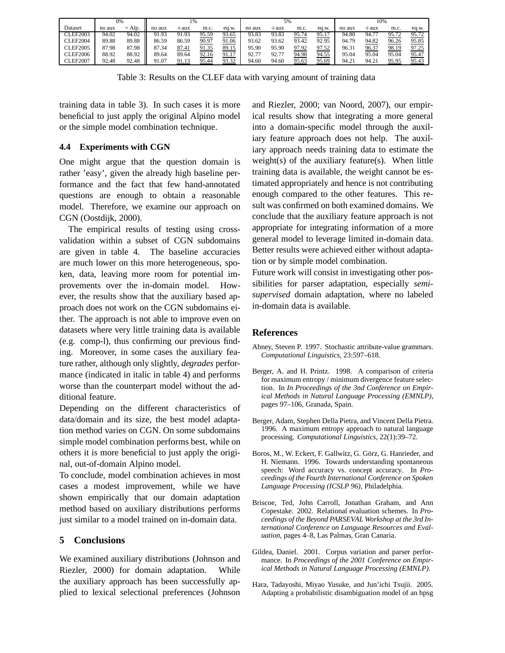|                 | 0%     |            | 1%     |        |       | 5%    |        |        |       | 10%   |        |       |       |       |
|-----------------|--------|------------|--------|--------|-------|-------|--------|--------|-------|-------|--------|-------|-------|-------|
| Dataset         | no aux | $=$ Alp.   | no aux | $+aux$ | m.c.  | eq.w. | no aux | $+aux$ | m.c.  | eq.w. | no aux | +aux  | m.c.  | eq.w. |
| <b>CLEF2003</b> | 94.02  | 94.02<br>Ш | 91.93  | 91.93  | 95.59 | 93.65 | 93.83  | 93.83  | 95.74 | 95.17 | 94.80  | 94.7  | 95.72 | 95.72 |
| <b>CLEF2004</b> | 89.88  | 89.88<br>Ш | 86.59  | 86.59  | 90.97 | 91.06 | 93.62  | 93.62  | 93.42 | 92.95 | 94.79  | 94.82 | 96.26 | 95.85 |
| <b>CLEF2005</b> | 87.98  | 87.98<br>Ш | 87.34  | 87.41  | 91.35 | 89.15 | 95.90  | 95.90  | 97.92 | 97.52 | 96.31  | 96.37 | 98.19 | 97.25 |
| <b>CLEF2006</b> | 88.92  | 88.92<br>Ш | 89.64  | 89.64  | 92.16 | 91.17 | 92.77  | 92.77  | 94.98 | 94.55 | 95.04  | 95.04 | 95.04 | 95.47 |
| <b>CLEF2007</b> | 92.48  | 92.48      | 91.07  | 91.13  | 95.44 | 93.32 | 94.60  | 94.60  | 95.63 | 95.69 | 94.21  | 94.21 | 95.95 | 95.43 |

Table 3: Results on the CLEF data with varying amount of training data

training data in table 3). In such cases it is more beneficial to just apply the original Alpino model or the simple model combination technique.

# **4.4 Experiments with CGN**

One might argue that the question domain is rather 'easy', given the already high baseline performance and the fact that few hand-annotated questions are enough to obtain a reasonable model. Therefore, we examine our approach on CGN (Oostdijk, 2000).

The empirical results of testing using crossvalidation within a subset of CGN subdomains are given in table 4. The baseline accuracies are much lower on this more heterogeneous, spoken, data, leaving more room for potential improvements over the in-domain model. However, the results show that the auxiliary based approach does not work on the CGN subdomains either. The approach is not able to improve even on datasets where very little training data is available (e.g. comp-l), thus confirming our previous finding. Moreover, in some cases the auxiliary feature rather, although only slightly, *degrades* performance (indicated in italic in table 4) and performs worse than the counterpart model without the additional feature.

Depending on the different characteristics of data/domain and its size, the best model adaptation method varies on CGN. On some subdomains simple model combination performs best, while on others it is more beneficial to just apply the original, out-of-domain Alpino model.

To conclude, model combination achieves in most cases a modest improvement, while we have shown empirically that our domain adaptation method based on auxiliary distributions performs just similar to a model trained on in-domain data.

# **5 Conclusions**

We examined auxiliary distributions (Johnson and Riezler, 2000) for domain adaptation. While the auxiliary approach has been successfully applied to lexical selectional preferences (Johnson and Riezler, 2000; van Noord, 2007), our empirical results show that integrating a more general into a domain-specific model through the auxiliary feature approach does not help. The auxiliary approach needs training data to estimate the weight(s) of the auxiliary feature(s). When little training data is available, the weight cannot be estimated appropriately and hence is not contributing enough compared to the other features. This result was confirmed on both examined domains. We conclude that the auxiliary feature approach is not appropriate for integrating information of a more general model to leverage limited in-domain data. Better results were achieved either without adaptation or by simple model combination.

Future work will consist in investigating other possibilities for parser adaptation, especially *semisupervised* domain adaptation, where no labeled in-domain data is available.

# **References**

- Abney, Steven P. 1997. Stochastic attribute-value grammars. *Computational Linguistics*, 23:597–618.
- Berger, A. and H. Printz. 1998. A comparison of criteria for maximum entropy / minimum divergence feature selection. In *In Proceedings of the 3nd Conference on Empirical Methods in Natural Language Processing (EMNLP)*, pages 97–106, Granada, Spain.
- Berger, Adam, Stephen Della Pietra, and Vincent Della Pietra. 1996. A maximum entropy approach to natural language processing. *Computational Linguistics*, 22(1):39–72.
- Boros, M., W. Eckert, F. Gallwitz, G. Görz, G. Hanrieder, and H. Niemann. 1996. Towards understanding spontaneous speech: Word accuracy vs. concept accuracy. In *Proceedings of the Fourth International Conference on Spoken Language Processing (ICSLP 96)*, Philadelphia.
- Briscoe, Ted, John Carroll, Jonathan Graham, and Ann Copestake. 2002. Relational evaluation schemes. In *Proceedings of the Beyond PARSEVAL Workshop at the 3rd International Conference on Language Resources and Evaluation*, pages 4–8, Las Palmas, Gran Canaria.
- Gildea, Daniel. 2001. Corpus variation and parser performance. In *Proceedings of the 2001 Conference on Empirical Methods in Natural Language Processing (EMNLP).*
- Hara, Tadayoshi, Miyao Yusuke, and Jun'ichi Tsujii. 2005. Adapting a probabilistic disambiguation model of an hpsg